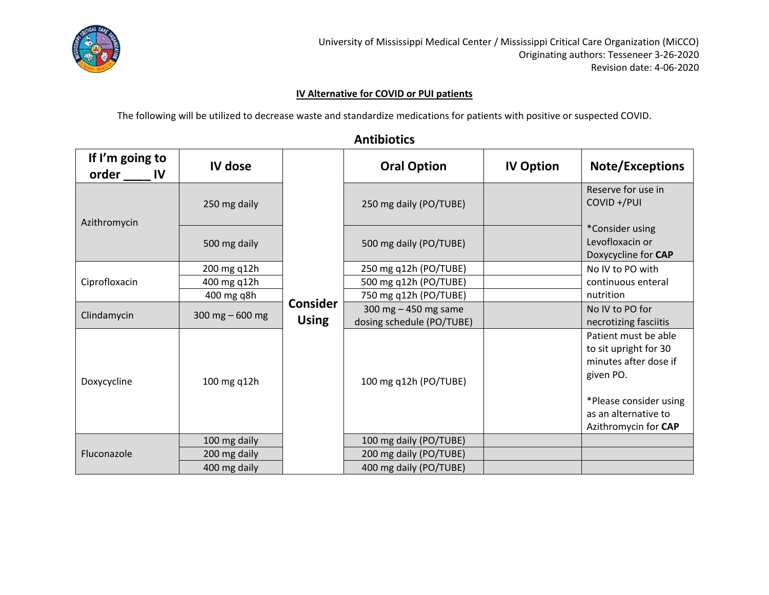

#### **IV Alternative for COVID or PUI patients**

The following will be utilized to decrease waste and standardize medications for patients with positive or suspected COVID.

#### **Antibiotics**

| If I'm going to<br>order IV | IV dose          |                                 | <b>Oral Option</b>                                  | <b>IV Option</b> | <b>Note/Exceptions</b>                                                                                                                                        |  |
|-----------------------------|------------------|---------------------------------|-----------------------------------------------------|------------------|---------------------------------------------------------------------------------------------------------------------------------------------------------------|--|
| Azithromycin                | 250 mg daily     |                                 | 250 mg daily (PO/TUBE)                              |                  | Reserve for use in<br>COVID +/PUI<br>*Consider using<br>Levofloxacin or<br>Doxycycline for CAP                                                                |  |
|                             | 500 mg daily     |                                 | 500 mg daily (PO/TUBE)                              |                  |                                                                                                                                                               |  |
|                             | 200 mg q12h      |                                 | 250 mg q12h (PO/TUBE)                               |                  | No IV to PO with<br>continuous enteral                                                                                                                        |  |
| Ciprofloxacin               | 400 mg q12h      |                                 | 500 mg q12h (PO/TUBE)                               |                  |                                                                                                                                                               |  |
|                             | 400 mg q8h       |                                 | 750 mg q12h (PO/TUBE)                               |                  | nutrition                                                                                                                                                     |  |
| Clindamycin                 | 300 mg $-600$ mg | <b>Consider</b><br><b>Using</b> | 300 mg $-$ 450 mg same<br>dosing schedule (PO/TUBE) |                  | No IV to PO for<br>necrotizing fasciitis                                                                                                                      |  |
| Doxycycline                 | 100 mg q12h      |                                 | 100 mg q12h (PO/TUBE)                               |                  | Patient must be able<br>to sit upright for 30<br>minutes after dose if<br>given PO.<br>*Please consider using<br>as an alternative to<br>Azithromycin for CAP |  |
| Fluconazole                 | 100 mg daily     |                                 | 100 mg daily (PO/TUBE)                              |                  |                                                                                                                                                               |  |
|                             | 200 mg daily     |                                 | 200 mg daily (PO/TUBE)                              |                  |                                                                                                                                                               |  |
|                             | 400 mg daily     |                                 | 400 mg daily (PO/TUBE)                              |                  |                                                                                                                                                               |  |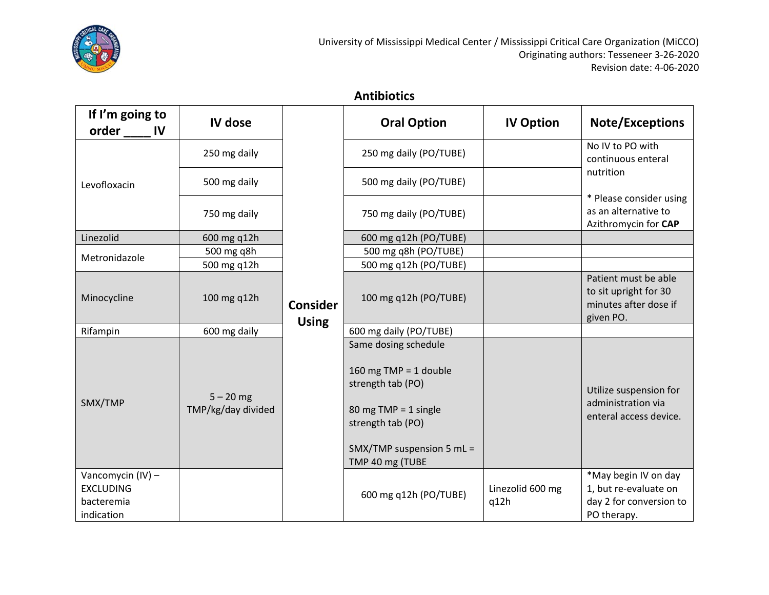

### **Antibiotics**

| If I'm going to<br>order<br><b>IV</b>                             | IV dose                           |                                 | <b>Oral Option</b>                                                                                                                                                | <b>IV Option</b>         | <b>Note/Exceptions</b>                                                                  |                                                                                     |
|-------------------------------------------------------------------|-----------------------------------|---------------------------------|-------------------------------------------------------------------------------------------------------------------------------------------------------------------|--------------------------|-----------------------------------------------------------------------------------------|-------------------------------------------------------------------------------------|
|                                                                   | 250 mg daily                      |                                 | 250 mg daily (PO/TUBE)                                                                                                                                            |                          | No IV to PO with<br>continuous enteral                                                  |                                                                                     |
| Levofloxacin                                                      | 500 mg daily                      |                                 | 500 mg daily (PO/TUBE)                                                                                                                                            |                          | nutrition                                                                               |                                                                                     |
|                                                                   | 750 mg daily                      |                                 | 750 mg daily (PO/TUBE)                                                                                                                                            |                          | * Please consider using<br>as an alternative to<br>Azithromycin for CAP                 |                                                                                     |
| Linezolid                                                         | 600 mg q12h                       |                                 | 600 mg q12h (PO/TUBE)                                                                                                                                             |                          |                                                                                         |                                                                                     |
| Metronidazole                                                     | 500 mg q8h                        |                                 | 500 mg q8h (PO/TUBE)                                                                                                                                              |                          |                                                                                         |                                                                                     |
|                                                                   | 500 mg q12h                       |                                 | 500 mg q12h (PO/TUBE)                                                                                                                                             |                          |                                                                                         |                                                                                     |
| Minocycline                                                       | 100 mg q12h                       | <b>Consider</b><br><b>Using</b> |                                                                                                                                                                   | 100 mg q12h (PO/TUBE)    |                                                                                         | Patient must be able<br>to sit upright for 30<br>minutes after dose if<br>given PO. |
| Rifampin                                                          | 600 mg daily                      |                                 | 600 mg daily (PO/TUBE)                                                                                                                                            |                          |                                                                                         |                                                                                     |
| SMX/TMP                                                           | $5 - 20$ mg<br>TMP/kg/day divided |                                 | Same dosing schedule<br>160 mg TMP = 1 double<br>strength tab (PO)<br>80 mg TMP = $1$ single<br>strength tab (PO)<br>SMX/TMP suspension 5 mL =<br>TMP 40 mg (TUBE |                          | Utilize suspension for<br>administration via<br>enteral access device.                  |                                                                                     |
| Vancomycin (IV) -<br><b>EXCLUDING</b><br>bacteremia<br>indication |                                   |                                 | 600 mg q12h (PO/TUBE)                                                                                                                                             | Linezolid 600 mg<br>q12h | *May begin IV on day<br>1, but re-evaluate on<br>day 2 for conversion to<br>PO therapy. |                                                                                     |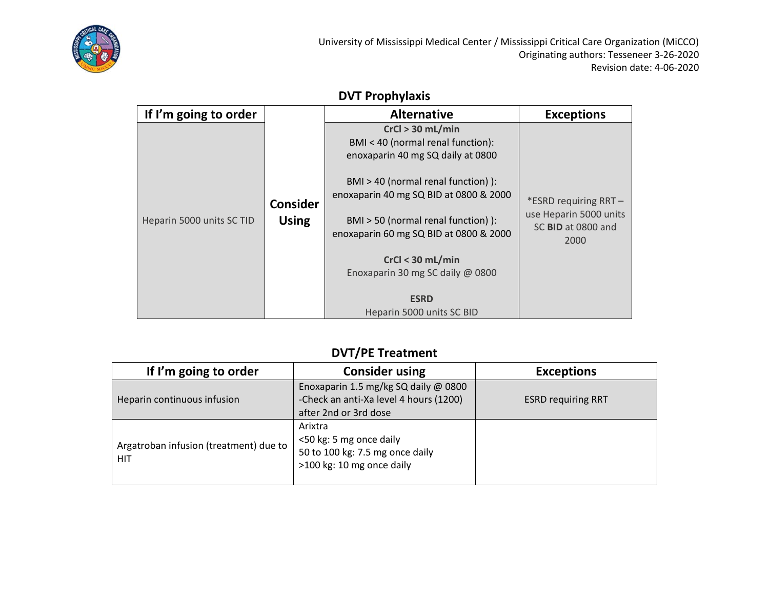

# **DVT Prophylaxis**

| If I'm going to order     |                                 | <b>Alternative</b>                                                                                                                                                                                                                                                                                                       | <b>Exceptions</b>                                                             |
|---------------------------|---------------------------------|--------------------------------------------------------------------------------------------------------------------------------------------------------------------------------------------------------------------------------------------------------------------------------------------------------------------------|-------------------------------------------------------------------------------|
| Heparin 5000 units SC TID | <b>Consider</b><br><b>Using</b> | $CrCl > 30$ mL/min<br>BMI < 40 (normal renal function):<br>enoxaparin 40 mg SQ daily at 0800<br>BMI > 40 (normal renal function) ):<br>enoxaparin 40 mg SQ BID at 0800 & 2000<br>BMI > 50 (normal renal function) ):<br>enoxaparin 60 mg SQ BID at 0800 & 2000<br>$CrCl < 30$ mL/min<br>Enoxaparin 30 mg SC daily @ 0800 | *ESRD requiring RRT -<br>use Heparin 5000 units<br>SC BID at 0800 and<br>2000 |
|                           |                                 | <b>ESRD</b><br>Heparin 5000 units SC BID                                                                                                                                                                                                                                                                                 |                                                                               |

# **DVT/PE Treatment**

| If I'm going to order                                | <b>Consider using</b>                                                                                   | <b>Exceptions</b>         |
|------------------------------------------------------|---------------------------------------------------------------------------------------------------------|---------------------------|
| Heparin continuous infusion                          | Enoxaparin 1.5 mg/kg SQ daily @ 0800<br>-Check an anti-Xa level 4 hours (1200)<br>after 2nd or 3rd dose | <b>ESRD requiring RRT</b> |
| Argatroban infusion (treatment) due to<br><b>HIT</b> | Arixtra<br><50 kg: 5 mg once daily<br>50 to 100 kg: 7.5 mg once daily<br>>100 kg: 10 mg once daily      |                           |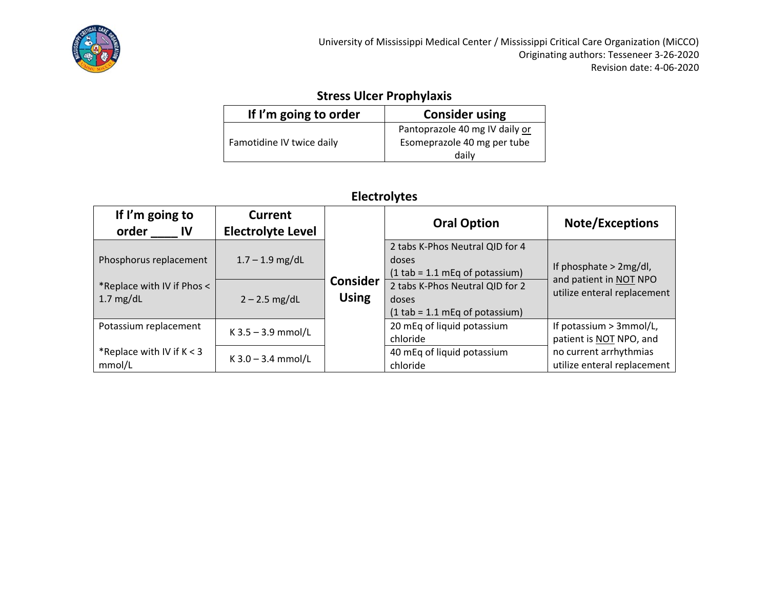

# **Stress Ulcer Prophylaxis**

| If I'm going to order     | <b>Consider using</b>                                                  |
|---------------------------|------------------------------------------------------------------------|
| Famotidine IV twice daily | Pantoprazole 40 mg IV daily or<br>Esomeprazole 40 mg per tube<br>dailv |

# **Electrolytes**

| If I'm going to<br>order<br>IV                  | <b>Current</b><br><b>Electrolyte Level</b> |                                 | <b>Oral Option</b>                                                           | <b>Note/Exceptions</b>                                |
|-------------------------------------------------|--------------------------------------------|---------------------------------|------------------------------------------------------------------------------|-------------------------------------------------------|
| Phosphorus replacement                          | $1.7 - 1.9$ mg/dL                          |                                 | 2 tabs K-Phos Neutral QID for 4<br>doses<br>$(1$ tab = 1.1 mEq of potassium) | If phosphate $>$ 2mg/dl,<br>and patient in NOT NPO    |
| *Replace with IV if Phos <<br>$\vert$ 1.7 mg/dL | $2 - 2.5$ mg/dL                            | <b>Consider</b><br><b>Using</b> | 2 tabs K-Phos Neutral QID for 2<br>doses<br>$(1$ tab = 1.1 mEq of potassium) | utilize enteral replacement                           |
| Potassium replacement                           | $K$ 3.5 – 3.9 mmol/L                       |                                 | 20 mEq of liquid potassium<br>chloride                                       | If potassium > 3mmol/L,<br>patient is NOT NPO, and    |
| *Replace with IV if $K < 3$<br>mmol/L           | $K$ 3.0 – 3.4 mmol/L                       |                                 | 40 mEq of liquid potassium<br>chloride                                       | no current arrhythmias<br>utilize enteral replacement |